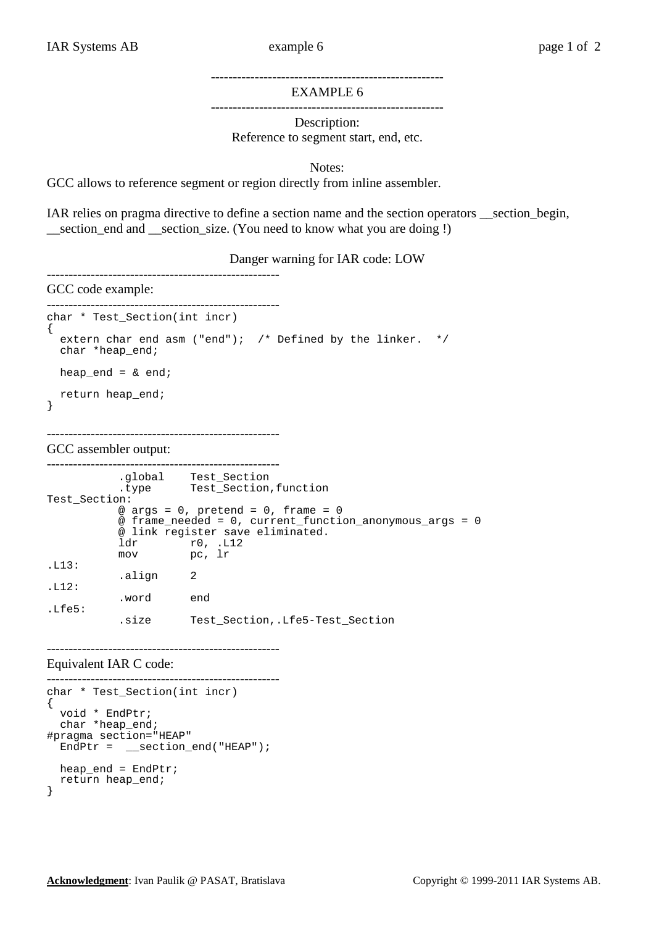## ----------------------------------------------------- EXAMPLE 6

-----------------------------------------------------

Description: Reference to segment start, end, etc.

Notes:

GCC allows to reference segment or region directly from inline assembler.

IAR relies on pragma directive to define a section name and the section operators \_\_section\_begin, \_\_section\_end and \_\_section\_size. (You need to know what you are doing !)

Danger warning for IAR code: LOW

## GCC code example:

-----------------------------------------------------

-----------------------------------------------------

```
----------------------------------------------------- 
char * Test_Section(int incr) 
{ 
   extern char end asm ("end"); /* Defined by the linker. */ 
   char *heap_end; 
  heap_end = \& end;
   return heap_end; 
}
```
GCC assembler output:

```
----------------------------------------------------- 
 .global Test_Section 
 .type Test_Section,function 
Test_Section: 
         @ args = 0, pretend = 0, frame = 0 @ frame_needed = 0, current_function_anonymous_args = 0 
          @ link register save eliminated. 
 ldr r0, .L12 
 mov pc, lr 
.L13: 
          .align 2 
.112: .word end 
.Lfe5: 
          .size Test_Section,.Lfe5-Test_Section
```
Equivalent IAR C code:

```
----------------------------------------------------- 
char * Test_Section(int incr) 
\mathcal{L}_{\mathcal{L}_{\mathcal{L}}} void * EndPtr; 
  char *heap end;
#pragma section="HEAP" 
   EndPtr = __section_end("HEAP"); 
   heap_end = EndPtr; 
   return heap_end; 
}
```
-----------------------------------------------------